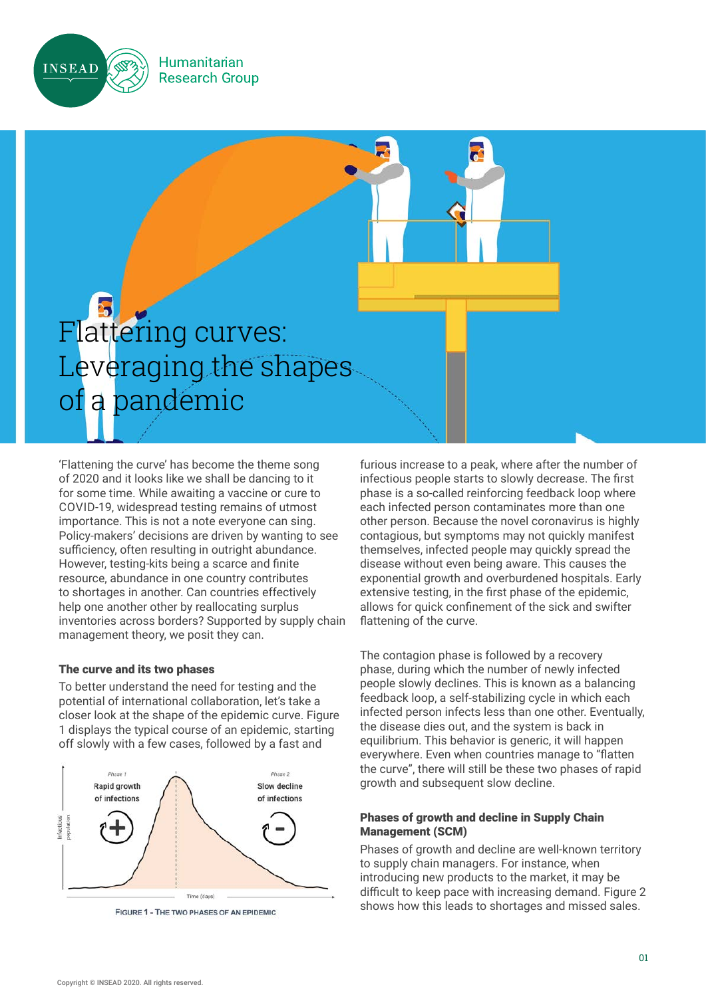

**Humanitarian Research Group** 

# Flattering curves: Leveraging the shapes of a pandemic

'Flattening the curve' has become the theme song of 2020 and it looks like we shall be dancing to it for some time. While awaiting a vaccine or cure to COVID-19, widespread testing remains of utmost importance. This is not a note everyone can sing. Policy-makers' decisions are driven by wanting to see sufficiency, often resulting in outright abundance. However, testing-kits being a scarce and finite resource, abundance in one country contributes to shortages in another. Can countries effectively help one another other by reallocating surplus inventories across borders? Supported by supply chain management theory, we posit they can.

## The curve and its two phases

To better understand the need for testing and the potential of international collaboration, let's take a closer look at the shape of the epidemic curve. Figure 1 displays the typical course of an epidemic, starting off slowly with a few cases, followed by a fast and



FIGURE 1 - THE TWO PHASES OF AN EPIDEMIC

furious increase to a peak, where after the number of infectious people starts to slowly decrease. The first phase is a so-called reinforcing feedback loop where each infected person contaminates more than one other person. Because the novel coronavirus is highly contagious, but symptoms may not quickly manifest themselves, infected people may quickly spread the disease without even being aware. This causes the exponential growth and overburdened hospitals. Early extensive testing, in the first phase of the epidemic, allows for quick confinement of the sick and swifter flattening of the curve.

The contagion phase is followed by a recovery phase, during which the number of newly infected people slowly declines. This is known as a balancing feedback loop, a self-stabilizing cycle in which each infected person infects less than one other. Eventually, the disease dies out, and the system is back in equilibrium. This behavior is generic, it will happen everywhere. Even when countries manage to "flatten the curve", there will still be these two phases of rapid growth and subsequent slow decline.

## Phases of growth and decline in Supply Chain Management (SCM)

Phases of growth and decline are well-known territory to supply chain managers. For instance, when introducing new products to the market, it may be difficult to keep pace with increasing demand. Figure 2 shows how this leads to shortages and missed sales.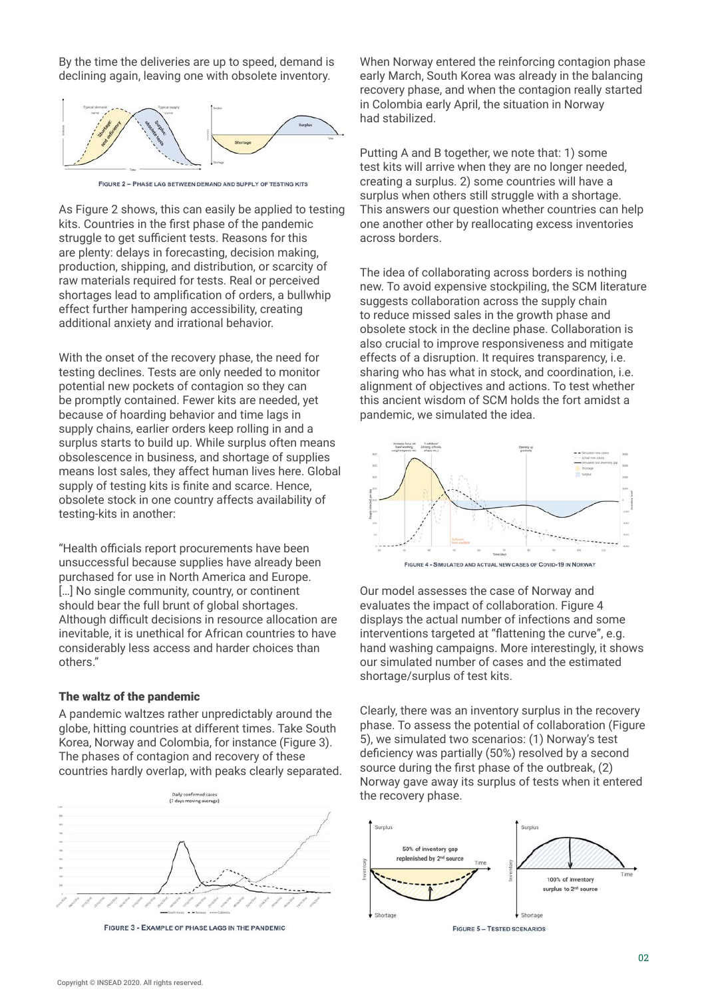By the time the deliveries are up to speed, demand is declining again, leaving one with obsolete inventory.



FIGURE 2 - PHASE LAG BETWEEN DEMAND AND SUPPLY OF TESTING KITS

As Figure 2 shows, this can easily be applied to testing kits. Countries in the first phase of the pandemic struggle to get sufficient tests. Reasons for this are plenty: delays in forecasting, decision making, production, shipping, and distribution, or scarcity of raw materials required for tests. Real or perceived shortages lead to amplification of orders, a bullwhip effect further hampering accessibility, creating additional anxiety and irrational behavior.

With the onset of the recovery phase, the need for testing declines. Tests are only needed to monitor potential new pockets of contagion so they can be promptly contained. Fewer kits are needed, yet because of hoarding behavior and time lags in supply chains, earlier orders keep rolling in and a surplus starts to build up. While surplus often means obsolescence in business, and shortage of supplies means lost sales, they affect human lives here. Global supply of testing kits is finite and scarce. Hence, obsolete stock in one country affects availability of testing-kits in another:

"Health officials report procurements have been unsuccessful because supplies have already been purchased for use in North America and Europe. [...] No single community, country, or continent should bear the full brunt of global shortages. Although difficult decisions in resource allocation are inevitable, it is unethical for African countries to have considerably less access and harder choices than others."

#### The waltz of the pandemic

A pandemic waltzes rather unpredictably around the globe, hitting countries at different times. Take South Korea, Norway and Colombia, for instance (Figure 3). The phases of contagion and recovery of these countries hardly overlap, with peaks clearly separated.



FIGURE 3 - EXAMPLE OF PHASE LAGS IN THE PANDEMIC

When Norway entered the reinforcing contagion phase early March, South Korea was already in the balancing recovery phase, and when the contagion really started in Colombia early April, the situation in Norway had stabilized.

Putting A and B together, we note that: 1) some test kits will arrive when they are no longer needed, creating a surplus. 2) some countries will have a surplus when others still struggle with a shortage. This answers our question whether countries can help one another other by reallocating excess inventories across borders.

The idea of collaborating across borders is nothing new. To avoid expensive stockpiling, the SCM literature suggests collaboration across the supply chain to reduce missed sales in the growth phase and obsolete stock in the decline phase. Collaboration is also crucial to improve responsiveness and mitigate effects of a disruption. It requires transparency, i.e. sharing who has what in stock, and coordination, i.e. alignment of objectives and actions. To test whether this ancient wisdom of SCM holds the fort amidst a pandemic, we simulated the idea.



FIGURE 4 - SIMULATED AND ACTUAL NEW CASES OF COVID-19 IN NORWAY

Our model assesses the case of Norway and evaluates the impact of collaboration. Figure 4 displays the actual number of infections and some interventions targeted at "flattening the curve", e.g. hand washing campaigns. More interestingly, it shows our simulated number of cases and the estimated shortage/surplus of test kits.

Clearly, there was an inventory surplus in the recovery phase. To assess the potential of collaboration (Figure 5), we simulated two scenarios: (1) Norway's test deficiency was partially (50%) resolved by a second source during the first phase of the outbreak, (2) Norway gave away its surplus of tests when it entered the recovery phase.



**FIGURE 5 - TESTED SCENARIOS**